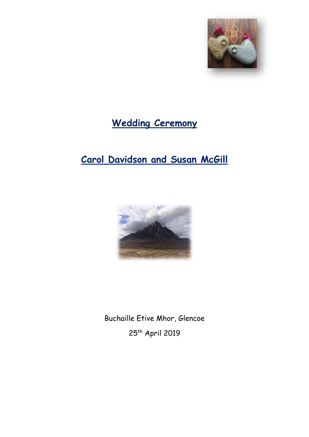

# **Wedding Ceremony**

# **Carol Davidson and Susan McGill**



Buchaille Etive Mhor, Glencoe 25<sup>th</sup> April 2019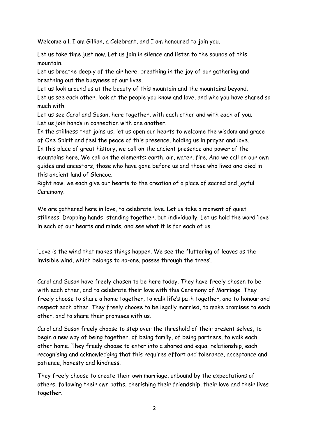Welcome all. I am Gillian, a Celebrant, and I am honoured to join you.

Let us take time just now. Let us join in silence and listen to the sounds of this mountain.

Let us breathe deeply of the air here, breathing in the joy of our gathering and breathing out the busyness of our lives.

Let us look around us at the beauty of this mountain and the mountains beyond. Let us see each other, look at the people you know and love, and who you have shared so much with.

Let us see Carol and Susan, here together, with each other and with each of you. Let us join hands in connection with one another.

In the stillness that joins us, let us open our hearts to welcome the wisdom and grace of One Spirit and feel the peace of this presence, holding us in prayer and love. In this place of great history, we call on the ancient presence and power of the mountains here. We call on the elements: earth, air, water, fire. And we call on our own guides and ancestors, those who have gone before us and those who lived and died in this ancient land of Glencoe.

Right now, we each give our hearts to the creation of a place of sacred and joyful Ceremony.

We are gathered here in love, to celebrate love. Let us take a moment of quiet stillness. Dropping hands, standing together, but individually. Let us hold the word 'love' in each of our hearts and minds, and see what it is for each of us.

'Love is the wind that makes things happen. We see the fluttering of leaves as the invisible wind, which belongs to no-one, passes through the trees'.

Carol and Susan have freely chosen to be here today. They have freely chosen to be with each other, and to celebrate their love with this Ceremony of Marriage. They freely choose to share a home together, to walk life's path together, and to honour and respect each other. They freely choose to be legally married, to make promises to each other, and to share their promises with us.

Carol and Susan freely choose to step over the threshold of their present selves, to begin a new way of being together, of being family, of being partners, to walk each other home. They freely choose to enter into a shared and equal relationship, each recognising and acknowledging that this requires effort and tolerance, acceptance and patience, honesty and kindness.

They freely choose to create their own marriage, unbound by the expectations of others, following their own paths, cherishing their friendship, their love and their lives together.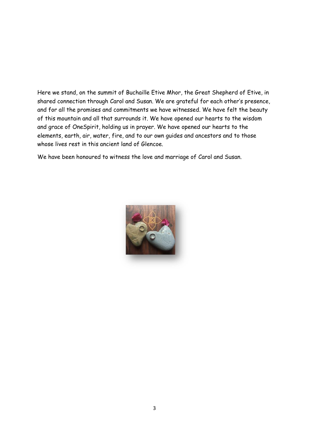Here we stand, on the summit of Buchaille Etive Mhor, the Great Shepherd of Etive, in shared connection through Carol and Susan. We are grateful for each other's presence, and for all the promises and commitments we have witnessed. We have felt the beauty of this mountain and all that surrounds it. We have opened our hearts to the wisdom and grace of OneSpirit, holding us in prayer. We have opened our hearts to the elements, earth, air, water, fire, and to our own guides and ancestors and to those whose lives rest in this ancient land of Glencoe.

We have been honoured to witness the love and marriage of Carol and Susan.

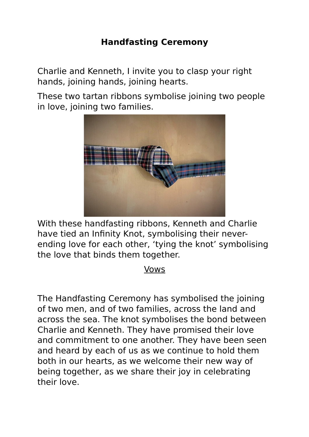## **Handfasting Ceremony**

Charlie and Kenneth, I invite you to clasp your right hands, joining hands, joining hearts.

These two tartan ribbons symbolise joining two people in love, joining two families.



With these handfasting ribbons, Kenneth and Charlie have tied an Infinity Knot, symbolising their neverending love for each other, 'tying the knot' symbolising the love that binds them together.

### Vows

The Handfasting Ceremony has symbolised the joining of two men, and of two families, across the land and across the sea. The knot symbolises the bond between Charlie and Kenneth. They have promised their love and commitment to one another. They have been seen and heard by each of us as we continue to hold them both in our hearts, as we welcome their new way of being together, as we share their joy in celebrating their love.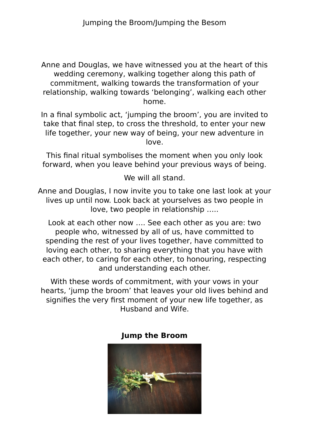Anne and Douglas, we have witnessed you at the heart of this wedding ceremony, walking together along this path of commitment, walking towards the transformation of your relationship, walking towards 'belonging', walking each other home.

In a final symbolic act, 'jumping the broom', you are invited to take that final step, to cross the threshold, to enter your new life together, your new way of being, your new adventure in love.

This final ritual symbolises the moment when you only look forward, when you leave behind your previous ways of being.

We will all stand.

Anne and Douglas, I now invite you to take one last look at your lives up until now. Look back at yourselves as two people in love, two people in relationship …..

Look at each other now …. See each other as you are: two people who, witnessed by all of us, have committed to spending the rest of your lives together, have committed to loving each other, to sharing everything that you have with each other, to caring for each other, to honouring, respecting and understanding each other.

With these words of commitment, with your vows in your hearts, 'jump the broom' that leaves your old lives behind and signifies the very first moment of your new life together, as Husband and Wife.



#### **Jump the Broom**